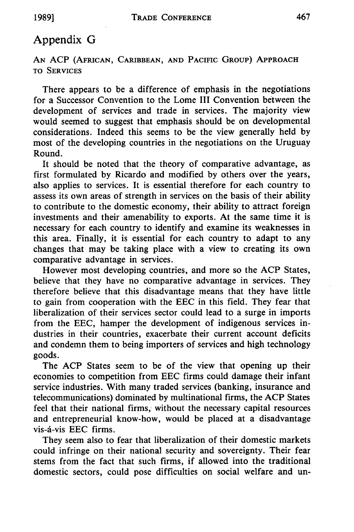## Appendix G

**AN** ACP (AFRICAN, CARIBBEAN, **AND** PACIFIC **GROUP)** APPROACH TO **SERVICES**

There appears to be a difference of emphasis in the negotiations for a Successor Convention to the Lome III Convention between the development of services and trade in services. The majority view would seemed to suggest that emphasis should be on developmental considerations. Indeed this seems to be the view generally held by most of the developing countries in the negotiations on the Uruguay Round.

It should be noted that the theory of comparative advantage, as first formulated by Ricardo and modified by others over the years, also applies to services. It is essential therefore for each country to assess its own areas of strength in services on the basis of their ability to contribute to the domestic economy, their ability to attract foreign investments and their amenability to exports. At the same time it is necessary for each country to identify and examine its weaknesses in this area. Finally, it is essential for each country to adapt to any changes that may be taking place with a view to creating its own comparative advantage in services.

However most developing countries, and more so the ACP States, believe that they have no comparative advantage in services. They therefore believe that this disadvantage means that they have little to gain from cooperation with the EEC in this field. They fear that liberalization of their services sector could lead to a surge in imports from the EEC, hamper the development of indigenous services industries in their countries, exacerbate their current account deficits and condemn them to being importers of services and high technology goods.

The ACP States seem to be of the view that opening up their economies to competition from EEC firms could damage their infant service industries. With many traded services (banking, insurance and telecommunications) dominated by multinational firms, the ACP States feel that their national firms, without the necessary capital resources and entrepreneurial know-how, would be placed at a disadvantage vis-d-vis EEC firms.

They seem also to fear that liberalization of their domestic markets could infringe on their national security and sovereignty. Their fear stems from the fact that such firms, if allowed into the traditional domestic sectors, could pose difficulties on social welfare and un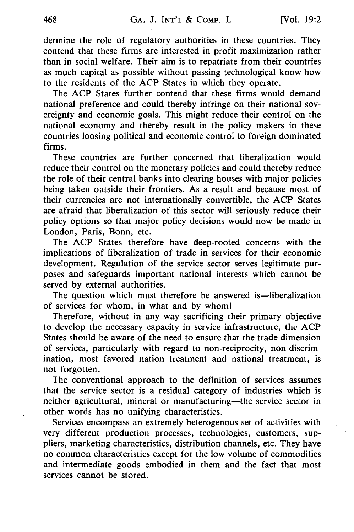dermine the role of regulatory authorities in these countries. They contend that these firms are interested in profit maximization rather than in social welfare. Their aim is to repatriate from their countries as much capital as possible without passing technological know-how to the residents of the ACP States in which they operate.

The ACP States further contend that these firms would demand national preference and could thereby infringe on their national sovereignty and economic goals. This might reduce their control on the national economy and thereby result in the policy makers in these countries loosing political and economic control to foreign dominated firms.

These countries are further concerned that liberalization would reduce their control on the monetary policies and could thereby reduce the role of their central banks into clearing houses with major policies being taken outside their frontiers. As a result and because most of their currencies are not internationally convertible, the ACP States are afraid that liberalization of this sector will seriously reduce their policy options so that major policy decisions would now be made in London, Paris, Bonn, etc.

The ACP States therefore have deep-rooted concerns with the implications of liberalization of trade in services for their economic development. Regulation of the service sector serves legitimate purposes and safeguards important national interests which cannot be served by external authorities.

The question which must therefore be answered is—liberalization of services for whom, in what and by whom!

Therefore, without in any way sacrificing their primary objective to develop the necessary capacity in service infrastructure, the ACP States should be aware of the need to ensure that the trade dimension of services, particularly with regard to non-reciprocity, non-discrimination, most favored nation treatment and national treatment, is not forgotten.

The conventional approach to the definition of services assumes that the service sector is a residual category of industries which is neither agricultural, mineral or manufacturing-the service sector in other words has no unifying characteristics.

Services encompass an extremely heterogenous set of activities with very different production processes, technologies, customers, suppliers, marketing characteristics, distribution channels, etc. They have no common characteristics except for the low volume of commodities and intermediate goods embodied in them and the fact that most services cannot be stored.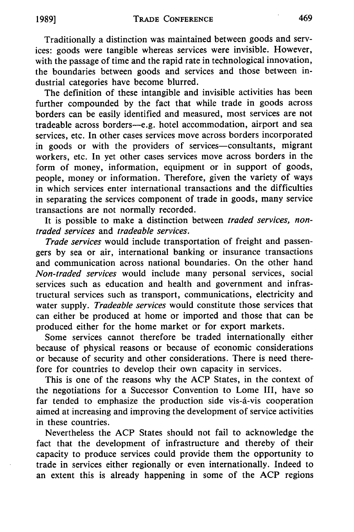Traditionally a distinction was maintained between goods and services: goods were tangible whereas services were invisible. However, with the passage of time and the rapid rate in technological innovation, the boundaries between goods and services and those between industrial categories have become blurred.

The definition of these intangible and invisible activities has been further compounded by the fact that while trade in goods across borders can be easily identified and measured, most services are not tradeable across borders-e.g. hotel accommodation, airport and sea services, etc. In other cases services move across borders incorporated in goods or with the providers of services-consultants, migrant workers, etc. In yet other cases services move across borders in the form of money, information, equipment or in support of goods, people, money or information. Therefore, given the variety of ways in which services enter international transactions and the difficulties in separating the services component of trade in goods, many service transactions are not normally recorded.

It is possible to make a distinction between *traded services, nontraded services* and *tradeable services.*

*Trade services* would include transportation of freight and passengers by sea or air, international banking or insurance transactions and communication across national boundaries. On the other hand *Non-traded services* would include many personal services, social services such as education and health and government and infrastructural services such as transport, communications, electricity and water supply. *Tradeable services* would constitute those services that can either be produced at home or imported and those that can be produced either for the home market or for export markets.

Some services cannot therefore be traded internationally either because of physical reasons or because of economic considerations or because of security and other considerations. There is need therefore for countries to develop their own capacity in services.

This is one of the reasons why the ACP States, in the context of the negotiations for a Successor Convention to Lome III, have so far tended to emphasize the production side vis-d-vis cooperation aimed at increasing and improving the development of service activities in these countries.

Nevertheless the ACP States should not fail to acknowledge the fact that the development of infrastructure and thereby of their capacity to produce services could provide them the opportunity to trade in services either regionally or even internationally. Indeed to an extent this is already happening in some of the ACP regions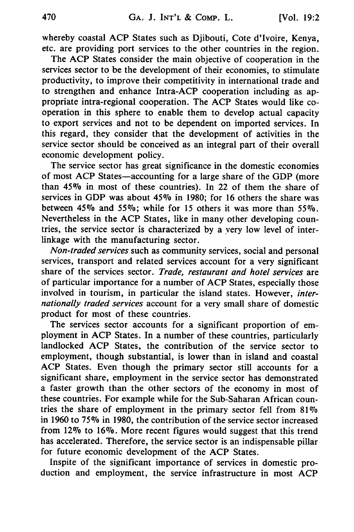whereby coastal ACP States such as Djibouti, Cote d'Ivoire, Kenya, etc. are providing port services to the other countries in the region.

The ACP States consider the main objective of cooperation in the services sector to be the development of their economies, to stimulate productivity, to improve their competitivity in international trade and to strengthen and enhance Intra-ACP cooperation including as appropriate intra-regional cooperation. The ACP States would like cooperation in this sphere to enable them to develop actual capacity to export services and not to be dependent on imported services. In this regard, they consider that the development of activities in the service sector should be conceived as an integral part of their overall economic development policy.

The service sector has great significance in the domestic economies of most ACP States-accounting for a large share of the GDP (more than **4507o** in most of these countries). In 22 of them the share of services in GDP was about 45% in 1980; for 16 others the share was between 45% and 55%; while for 15 others it was more than 55%. Nevertheless in the ACP States, like in many other developing countries, the service sector is characterized by a yery low level of interlinkage with the manufacturing sector.

*Non-traded services* such as community services, social and personal services, transport and related services account for a very significant share of the services sector. *Trade, restaurant and hotel services* are of particular importance for a number of ACP States, especially those involved in tourism, in particular the island states. However, *internationally traded services* account for a very small share of domestic product for most of these countries.

The services sector accounts for a significant proportion of employment in ACP States. In a number of these countries, particularly landlocked ACP States, the contribution of the service sector to employment, though substantial, is lower than in island and coastal ACP States. Even though the primary sector still accounts for a significant share, employment in the service sector has demonstrated a faster growth than the other sectors of the economy in most of these countries. For example while for the Sub-Saharan African countries the share of employment in the primary sector fell from  $81\%$ in 1960 to *75076* in 1980, the contribution of the service sector increased from  $12\%$  to  $16\%$ . More recent figures would suggest that this trend has accelerated. Therefore, the service sector is an indispensable pillar for future economic development of the ACP States.

Inspite of the significant importance of services in domestic production and employment, the service infrastructure in most ACP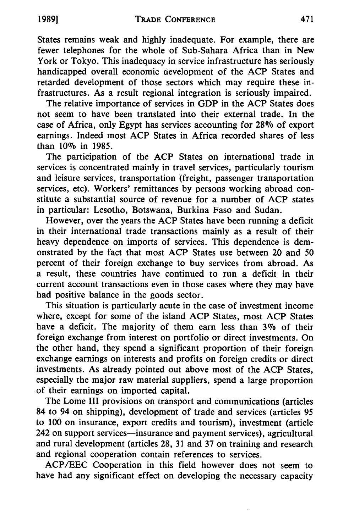States remains weak and highly inadequate. For example, there are fewer telephones for the whole of Sub-Sahara Africa than in New York or Tokyo. This inadequacy in service infrastructure has seriously handicapped overall economic development of the ACP States and retarded development of those sectors which may require these infrastructures. As a result regional integration is seriously impaired.

The relative importance of services in GDP in the ACP States does not seem to have been translated into their external trade. In the case of Africa, only Egypt has services accounting for 28% of export earnings. Indeed most ACP States in Africa recorded shares of less than 10% in 1985.

The participation of the ACP States on international trade in services is concentrated mainly in travel services, particularly tourism and leisure services, transportation (freight, passenger transportation services, etc). Workers' remittances by persons working abroad constitute a substantial source of revenue for a number of ACP states in particular: Lesotho, Botswana, Burkina Faso and Sudan.

However, over the years the ACP States have been running a deficit in their international trade transactions mainly as a result of their heavy dependence on imports of services. This dependence is demonstrated by the fact that most ACP States use between 20 and 50 percent of their foreign exchange to buy services from abroad. As a result, these countries have continued to run a deficit in their current account transactions even in those cases where they may have had positive balance in the goods sector.

This situation is particularly acute in the case of investment income where, except for some of the island ACP States, most ACP States have a deficit. The majority of them earn less than 3% of their foreign exchange from interest on portfolio or direct investments. On the other hand, they spend a significant proportion of their foreign exchange earnings on interests and profits on foreign credits or direct investments. As already pointed out above most of the ACP States, especially the major raw material suppliers, spend a large proportion of their earnings on imported capital.

The Lome III provisions on transport and communications (articles 84 to 94 on shipping), development of trade and services (articles 95 to 100 on insurance, export credits and tourism), investment (article 242 on support services—insurance and payment services), agricultural and rural development (articles 28, 31 and 37 on training and research and regional cooperation contain references to services.

ACP/EEC Cooperation in this field however does not seem to have had any significant effect on developing the necessary capacity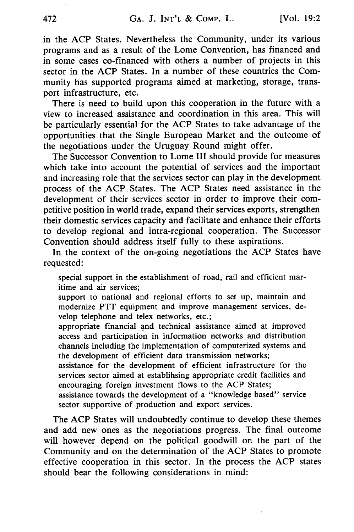in the ACP States. Nevertheless the Community, under its various programs and as a result of the Lome Convention, has financed and in some cases co-financed with others a number of projects in this sector in the ACP States. In a number of these countries the Community has supported programs aimed at marketing, storage, transport infrastructure, etc.

There is need to build upon this cooperation in the future with a view to increased assistance and coordination in this area. This will be particularly essential for the ACP States to take advantage of the opportunities that the Single European Market and the outcome of the negotiations under the Uruguay Round might offer.

The Successor Convention to Lome III should provide for measures which take into account the potential of services and the important and increasing role that the services sector can play in the development process of the ACP States. The ACP States need assistance in the development of their services sector in order to improve their competitive position in world trade, expand their services exports, strengthen their domestic services capacity and facilitate and enhance their efforts to develop regional and intra-regional cooperation. The Successor Convention should address itself fully to these aspirations.

In the context of the on-going negotiations the ACP States have requested:

special support in the establishment of road, rail and efficient maritime and air services;

support to national and regional efforts to set up, maintain and modernize PTT equipment and improve management services, develop telephone and telex networks, etc.;

appropriate financial and technical assistance aimed at improved access and participation in information networks and distribution channels including the implementation of computerized systems and the development of efficient data transmission networks;

assistance for the development of efficient infrastructure for the services sector aimed at establihsing appropriate credit facilities and encouraging foreign investment flows to the ACP States;

assistance towards the development of a "knowledge based" service sector supportive of production and export services.

The ACP States will undoubtedly continue to develop these themes and add new ones as the negotiations progress. The final outcome will however depend on the political goodwill on the part of the Community and on the determination of the ACP States to promote effective cooperation in this sector. In the process the ACP states should bear the following considerations in mind: